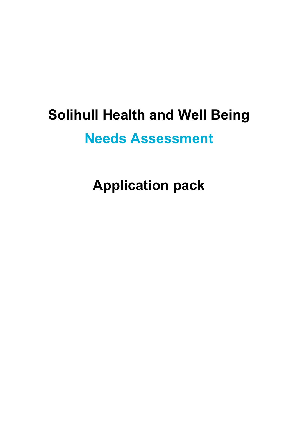# **Solihull Health and Well Being**

## **Needs Assessment**

**Application pack**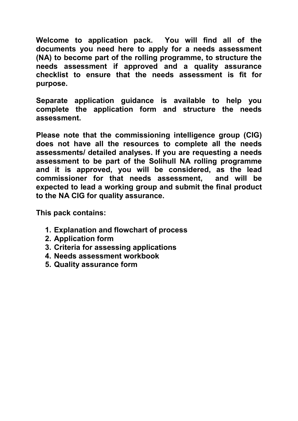**Welcome to application pack. You will find all of the documents you need here to apply for a needs assessment (NA) to become part of the rolling programme, to structure the needs assessment if approved and a quality assurance checklist to ensure that the needs assessment is fit for purpose.** 

**Separate application guidance is available to help you complete the application form and structure the needs assessment.** 

**Please note that the commissioning intelligence group (CIG) does not have all the resources to complete all the needs assessments/ detailed analyses. If you are requesting a needs assessment to be part of the Solihull NA rolling programme and it is approved, you will be considered, as the lead commissioner for that needs assessment, and will be expected to lead a working group and submit the final product to the NA CIG for quality assurance.** 

**This pack contains:** 

- **1. Explanation and flowchart of process**
- **2. Application form**
- **3. Criteria for assessing applications**
- **4. Needs assessment workbook**
- **5. Quality assurance form**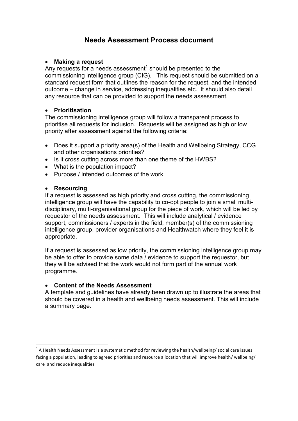### **Needs Assessment Process document**

### **Making a request**

Any requests for a needs assessment<sup>1</sup> should be presented to the commissioning intelligence group (CIG). This request should be submitted on a standard request form that outlines the reason for the request, and the intended outcome – change in service, addressing inequalities etc. It should also detail any resource that can be provided to support the needs assessment.

### **Prioritisation**

The commissioning intelligence group will follow a transparent process to prioritise all requests for inclusion. Requests will be assigned as high or low priority after assessment against the following criteria:

- Does it support a priority area(s) of the Health and Wellbeing Strategy, CCG and other organisations priorities?
- Is it cross cutting across more than one theme of the HWBS?
- What is the population impact?
- Purpose / intended outcomes of the work

### **Resourcing**

If a request is assessed as high priority and cross cutting, the commissioning intelligence group will have the capability to co-opt people to join a small multidisciplinary, multi-organisational group for the piece of work, which will be led by requestor of the needs assessment. This will include analytical / evidence support, commissioners / experts in the field, member(s) of the commissioning intelligence group, provider organisations and Healthwatch where they feel it is appropriate.

If a request is assessed as low priority, the commissioning intelligence group may be able to offer to provide some data / evidence to support the requestor, but they will be advised that the work would not form part of the annual work programme.

### **Content of the Needs Assessment**

A template and guidelines have already been drawn up to illustrate the areas that should be covered in a health and wellbeing needs assessment. This will include a summary page.

 1 A Health Needs Assessment is a systematic method for reviewing the health/wellbeing/ social care issues facing a population, leading to agreed priorities and resource allocation that will improve health/ wellbeing/ care and reduce inequalities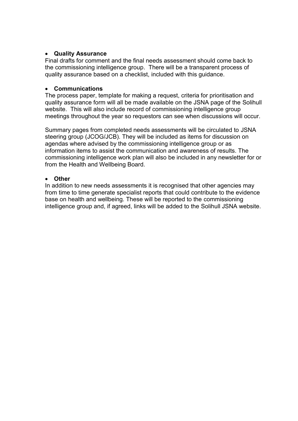### **Quality Assurance**

Final drafts for comment and the final needs assessment should come back to the commissioning intelligence group. There will be a transparent process of quality assurance based on a checklist, included with this guidance.

### **Communications**

The process paper, template for making a request, criteria for prioritisation and quality assurance form will all be made available on the JSNA page of the Solihull website. This will also include record of commissioning intelligence group meetings throughout the year so requestors can see when discussions will occur.

Summary pages from completed needs assessments will be circulated to JSNA steering group (JCOG/JCB). They will be included as items for discussion on agendas where advised by the commissioning intelligence group or as information items to assist the communication and awareness of results. The commissioning intelligence work plan will also be included in any newsletter for or from the Health and Wellbeing Board.

### **Other**

In addition to new needs assessments it is recognised that other agencies may from time to time generate specialist reports that could contribute to the evidence base on health and wellbeing. These will be reported to the commissioning intelligence group and, if agreed, links will be added to the Solihull JSNA website.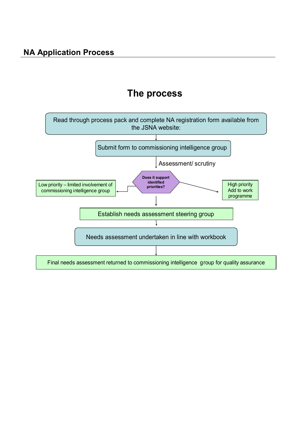### **The process**

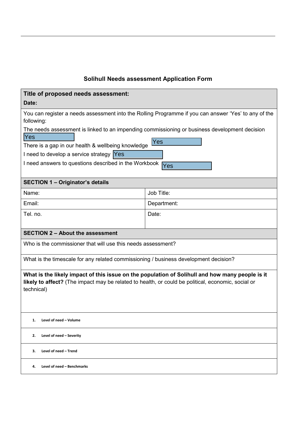### **Solihull Needs assessment Application Form**

| Title of proposed needs assessment:                                                                                                                                                                                 |             |  |  |  |  |
|---------------------------------------------------------------------------------------------------------------------------------------------------------------------------------------------------------------------|-------------|--|--|--|--|
| Date:                                                                                                                                                                                                               |             |  |  |  |  |
| You can register a needs assessment into the Rolling Programme if you can answer 'Yes' to any of the<br>following:                                                                                                  |             |  |  |  |  |
| The needs assessment is linked to an impending commissioning or business development decision                                                                                                                       |             |  |  |  |  |
| Yes                                                                                                                                                                                                                 |             |  |  |  |  |
| There is a gap in our health & wellbeing knowledge                                                                                                                                                                  | Yes         |  |  |  |  |
| I need to develop a service strategy Yes                                                                                                                                                                            |             |  |  |  |  |
| I need answers to questions described in the Workbook                                                                                                                                                               | Yes         |  |  |  |  |
| <b>SECTION 1 - Originator's details</b>                                                                                                                                                                             |             |  |  |  |  |
| Name:                                                                                                                                                                                                               | Job Title:  |  |  |  |  |
| Email:                                                                                                                                                                                                              | Department: |  |  |  |  |
| Tel. no.                                                                                                                                                                                                            | Date:       |  |  |  |  |
|                                                                                                                                                                                                                     |             |  |  |  |  |
| <b>SECTION 2 - About the assessment</b>                                                                                                                                                                             |             |  |  |  |  |
| Who is the commissioner that will use this needs assessment?                                                                                                                                                        |             |  |  |  |  |
| What is the timescale for any related commissioning / business development decision?                                                                                                                                |             |  |  |  |  |
| What is the likely impact of this issue on the population of Solihull and how many people is it<br>likely to affect? (The impact may be related to health, or could be political, economic, social or<br>technical) |             |  |  |  |  |
| Level of need - Volume<br>1.                                                                                                                                                                                        |             |  |  |  |  |
| Level of need - Severity<br>2.                                                                                                                                                                                      |             |  |  |  |  |
| З.<br>Level of need - Trend                                                                                                                                                                                         |             |  |  |  |  |
| Level of need - Benchmarks<br>4.                                                                                                                                                                                    |             |  |  |  |  |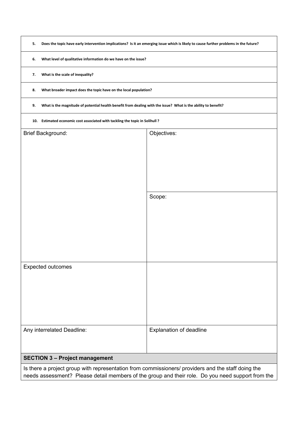| 5.                                                                                                                   | Does the topic have early intervention implications? Is it an emerging issue which is likely to cause further problems in the future? |  |  |  |  |  |  |
|----------------------------------------------------------------------------------------------------------------------|---------------------------------------------------------------------------------------------------------------------------------------|--|--|--|--|--|--|
| 6.                                                                                                                   | What level of qualitative information do we have on the issue?                                                                        |  |  |  |  |  |  |
| What is the scale of inequality?<br>7.                                                                               |                                                                                                                                       |  |  |  |  |  |  |
| What broader impact does the topic have on the local population?<br>8.                                               |                                                                                                                                       |  |  |  |  |  |  |
| What is the magnitude of potential health benefit from dealing with the issue? What is the ability to benefit?<br>9. |                                                                                                                                       |  |  |  |  |  |  |
| Estimated economic cost associated with tackling the topic in Solihull?<br>10.                                       |                                                                                                                                       |  |  |  |  |  |  |
| <b>Brief Background:</b>                                                                                             | Objectives:                                                                                                                           |  |  |  |  |  |  |
|                                                                                                                      |                                                                                                                                       |  |  |  |  |  |  |
|                                                                                                                      |                                                                                                                                       |  |  |  |  |  |  |
|                                                                                                                      |                                                                                                                                       |  |  |  |  |  |  |
|                                                                                                                      |                                                                                                                                       |  |  |  |  |  |  |
|                                                                                                                      | Scope:                                                                                                                                |  |  |  |  |  |  |
|                                                                                                                      |                                                                                                                                       |  |  |  |  |  |  |
|                                                                                                                      |                                                                                                                                       |  |  |  |  |  |  |
|                                                                                                                      |                                                                                                                                       |  |  |  |  |  |  |
|                                                                                                                      |                                                                                                                                       |  |  |  |  |  |  |
| <b>Expected outcomes</b>                                                                                             |                                                                                                                                       |  |  |  |  |  |  |
|                                                                                                                      |                                                                                                                                       |  |  |  |  |  |  |
|                                                                                                                      |                                                                                                                                       |  |  |  |  |  |  |
|                                                                                                                      |                                                                                                                                       |  |  |  |  |  |  |
|                                                                                                                      |                                                                                                                                       |  |  |  |  |  |  |
| Any interrelated Deadline:<br>Explanation of deadline                                                                |                                                                                                                                       |  |  |  |  |  |  |
| <b>SECTION 3 - Project management</b>                                                                                |                                                                                                                                       |  |  |  |  |  |  |
| Is there a project group with representation from commissioners/ providers and the staff doing the                   |                                                                                                                                       |  |  |  |  |  |  |
| needs assessment? Please detail members of the group and their role. Do you need support from the                    |                                                                                                                                       |  |  |  |  |  |  |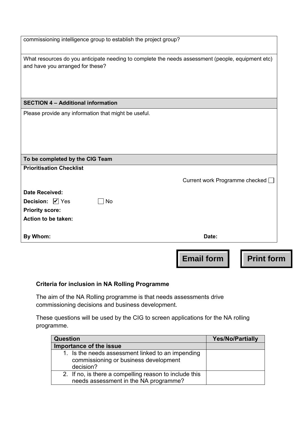|                                                                                                   | <b>Email form</b><br><b>Print form</b> |  |
|---------------------------------------------------------------------------------------------------|----------------------------------------|--|
| By Whom:                                                                                          | Date:                                  |  |
| <b>Action to be taken:</b>                                                                        |                                        |  |
| <b>Priority score:</b>                                                                            |                                        |  |
| <b>Date Received:</b><br><b>Decision:</b> Ø Yes<br><b>No</b>                                      |                                        |  |
|                                                                                                   | Current work Programme checked [       |  |
| <b>Prioritisation Checklist</b>                                                                   |                                        |  |
| To be completed by the CIG Team                                                                   |                                        |  |
| Please provide any information that might be useful.                                              |                                        |  |
| <b>SECTION 4 - Additional information</b>                                                         |                                        |  |
| and have you arranged for these?                                                                  |                                        |  |
| What resources do you anticipate needing to complete the needs assessment (people, equipment etc) |                                        |  |
| commissioning intelligence group to establish the project group?                                  |                                        |  |

### **Criteria for inclusion in NA Rolling Programme**

The aim of the NA Rolling programme is that needs assessments drive commissioning decisions and business development.

These questions will be used by the CIG to screen applications for the NA rolling programme.

| <b>Question</b>                                                                                         | <b>Yes/No/Partially</b> |
|---------------------------------------------------------------------------------------------------------|-------------------------|
| Importance of the issue                                                                                 |                         |
| 1. Is the needs assessment linked to an impending<br>commissioning or business development<br>decision? |                         |
| 2. If no, is there a compelling reason to include this<br>needs assessment in the NA programme?         |                         |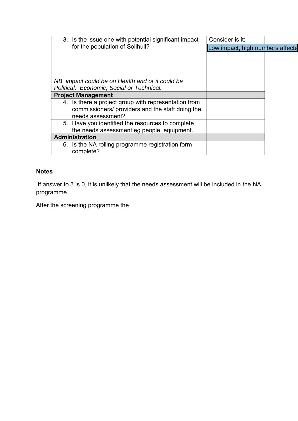| 3. Is the issue one with potential significant impact | Consider is it:                  |  |
|-------------------------------------------------------|----------------------------------|--|
| for the population of Solihull?                       | Low impact, high numbers affecte |  |
|                                                       |                                  |  |
|                                                       |                                  |  |
|                                                       |                                  |  |
| NB impact could be on Health and or it could be       |                                  |  |
| Political, Economic, Social or Technical.             |                                  |  |
| <b>Project Management</b>                             |                                  |  |
| 4. Is there a project group with representation from  |                                  |  |
| commissioners/ providers and the staff doing the      |                                  |  |
| needs assessment?                                     |                                  |  |
| 5. Have you identified the resources to complete      |                                  |  |
| the needs assessment eg people, equipment.            |                                  |  |
| Administration                                        |                                  |  |
| 6. Is the NA rolling programme registration form      |                                  |  |
| complete?                                             |                                  |  |

### **Notes**

 If answer to 3 is 0, it is unlikely that the needs assessment will be included in the NA programme.

After the screening programme the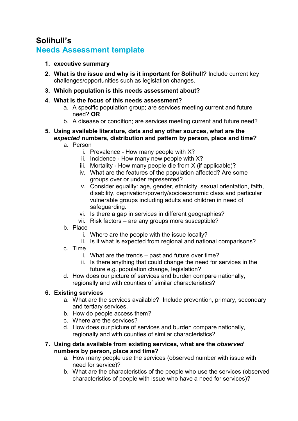### **Solihull's Needs Assessment template**

- **1. executive summary**
- **2. What is the issue and why is it important for Solihull?** Include current key challenges/opportunities such as legislation changes.
- **3. Which population is this needs assessment about?**
- **4. What is the focus of this needs assessment?** 
	- a. A specific population group; are services meeting current and future need? **OR**
	- b. A disease or condition; are services meeting current and future need?
- **5. Using available literature, data and any other sources, what are the**  *expected* **numbers, distribution and pattern by person, place and time?** 
	- a. Person
		- i. Prevalence How many people with X?
		- ii. Incidence How many new people with X?
		- iii. Mortality How many people die from X (if applicable)?
		- iv. What are the features of the population affected? Are some groups over or under represented?
		- v. Consider equality: age, gender, ethnicity, sexual orientation, faith, disability, deprivation/poverty/socioeconomic class and particular vulnerable groups including adults and children in need of safeguarding.
		- vi. Is there a gap in services in different geographies?
		- vii. Risk factors are any groups more susceptible?
	- b. Place
		- i. Where are the people with the issue locally?
		- ii. Is it what is expected from regional and national comparisons?
	- c. Time
		- i. What are the trends past and future over time?
		- ii. Is there anything that could change the need for services in the future e.g. population change, legislation?
	- d. How does our picture of services and burden compare nationally, regionally and with counties of similar characteristics?

### **6. Existing services**

- a. What are the services available? Include prevention, primary, secondary and tertiary services.
- b. How do people access them?
- c. Where are the services?
- d. How does our picture of services and burden compare nationally, regionally and with counties of similar characteristics?
- **7. Using data available from existing services, what are the** *observed* **numbers by person, place and time?** 
	- a. How many people use the services (observed number with issue with need for service)?
	- b. What are the characteristics of the people who use the services (observed characteristics of people with issue who have a need for services)?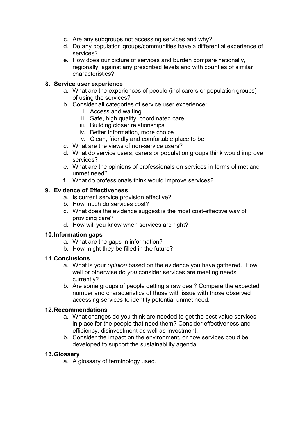- c. Are any subgroups not accessing services and why?
- d. Do any population groups/communities have a differential experience of services?
- e. How does our picture of services and burden compare nationally, regionally, against any prescribed levels and with counties of similar characteristics?

### **8. Service user experience**

- a. What are the experiences of people (incl carers or population groups) of using the services?
- b. Consider all categories of service user experience:
	- i. Access and waiting
	- ii. Safe, high quality, coordinated care
	- iii. Building closer relationships
	- iv. Better Information, more choice
	- v. Clean, friendly and comfortable place to be
- c. What are the views of non-service users?
- d. What do service users, carers or population groups think would improve services?
- e. What are the opinions of professionals on services in terms of met and unmet need?
- f. What do professionals think would improve services?

### **9. Evidence of Effectiveness**

- a. Is current service provision effective?
- b. How much do services cost?
- c. What does the evidence suggest is the most cost-effective way of providing care?
- d. How will you know when services are right?

### **10. Information gaps**

- a. What are the gaps in information?
- b. How might they be filled in the future?

### **11. Conclusions**

- a. What is your *opinion* based on the evidence you have gathered. How well or otherwise do *you* consider services are meeting needs currently?
- b. Are some groups of people getting a raw deal? Compare the expected number and characteristics of those with issue with those observed accessing services to identify potential unmet need.

### **12. Recommendations**

- a. What changes do you think are needed to get the best value services in place for the people that need them? Consider effectiveness and efficiency, disinvestment as well as investment.
- b. Consider the impact on the environment, or how services could be developed to support the sustainability agenda.

### **13. Glossary**

a. A glossary of terminology used.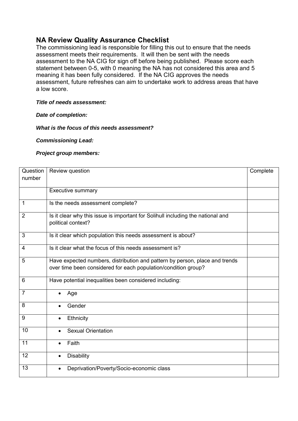### **NA Review Quality Assurance Checklist**

The commissioning lead is responsible for filling this out to ensure that the needs assessment meets their requirements. It will then be sent with the needs assessment to the NA CIG for sign off before being published. Please score each statement between 0-5, with 0 meaning the NA has not considered this area and 5 meaning it has been fully considered. If the NA CIG approves the needs assessment, future refreshes can aim to undertake work to address areas that have a low score.

### *Title of needs assessment:*

### *Date of completion:*

### *What is the focus of this needs assessment?*

*Commissioning Lead:* 

### *Project group members:*

| Question       | Review question                                                                                                                               | Complete |  |  |  |  |  |
|----------------|-----------------------------------------------------------------------------------------------------------------------------------------------|----------|--|--|--|--|--|
| number         |                                                                                                                                               |          |  |  |  |  |  |
|                | <b>Executive summary</b>                                                                                                                      |          |  |  |  |  |  |
| $\mathbf{1}$   | Is the needs assessment complete?                                                                                                             |          |  |  |  |  |  |
| 2              | Is it clear why this issue is important for Solihull including the national and<br>political context?                                         |          |  |  |  |  |  |
| 3              | Is it clear which population this needs assessment is about?                                                                                  |          |  |  |  |  |  |
| 4              | Is it clear what the focus of this needs assessment is?                                                                                       |          |  |  |  |  |  |
| 5              | Have expected numbers, distribution and pattern by person, place and trends<br>over time been considered for each population/condition group? |          |  |  |  |  |  |
| 6              | Have potential inequalities been considered including:                                                                                        |          |  |  |  |  |  |
| $\overline{7}$ | Age                                                                                                                                           |          |  |  |  |  |  |
| 8              | Gender                                                                                                                                        |          |  |  |  |  |  |
| 9              | Ethnicity                                                                                                                                     |          |  |  |  |  |  |
| 10             | <b>Sexual Orientation</b><br>$\bullet$                                                                                                        |          |  |  |  |  |  |
| 11             | Faith                                                                                                                                         |          |  |  |  |  |  |
| 12             | <b>Disability</b>                                                                                                                             |          |  |  |  |  |  |
| 13             | Deprivation/Poverty/Socio-economic class                                                                                                      |          |  |  |  |  |  |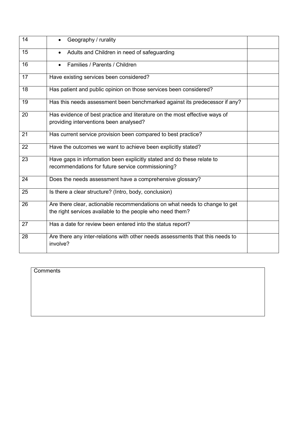| 14 | Geography / rurality                                                                                                                    |  |
|----|-----------------------------------------------------------------------------------------------------------------------------------------|--|
| 15 | Adults and Children in need of safeguarding                                                                                             |  |
| 16 | Families / Parents / Children                                                                                                           |  |
| 17 | Have existing services been considered?                                                                                                 |  |
| 18 | Has patient and public opinion on those services been considered?                                                                       |  |
| 19 | Has this needs assessment been benchmarked against its predecessor if any?                                                              |  |
| 20 | Has evidence of best practice and literature on the most effective ways of<br>providing interventions been analysed?                    |  |
| 21 | Has current service provision been compared to best practice?                                                                           |  |
| 22 | Have the outcomes we want to achieve been explicitly stated?                                                                            |  |
| 23 | Have gaps in information been explicitly stated and do these relate to<br>recommendations for future service commissioning?             |  |
| 24 | Does the needs assessment have a comprehensive glossary?                                                                                |  |
| 25 | Is there a clear structure? (Intro, body, conclusion)                                                                                   |  |
| 26 | Are there clear, actionable recommendations on what needs to change to get<br>the right services available to the people who need them? |  |
| 27 | Has a date for review been entered into the status report?                                                                              |  |
| 28 | Are there any inter-relations with other needs assessments that this needs to<br>involve?                                               |  |

| Comments |  |  |  |
|----------|--|--|--|
|          |  |  |  |
|          |  |  |  |
|          |  |  |  |
|          |  |  |  |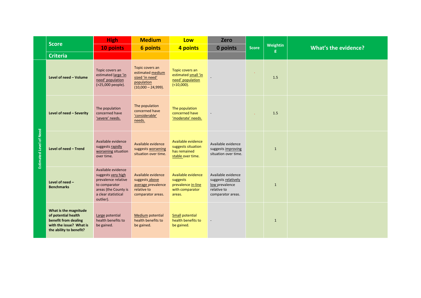|                                |                                                                                                                            | <b>High</b>                                                                                                                                  | <b>Medium</b>                                                                                  | Low                                                                               | <b>Zero</b>                                                                                     | <b>Score</b> |               | What's the evidence? |
|--------------------------------|----------------------------------------------------------------------------------------------------------------------------|----------------------------------------------------------------------------------------------------------------------------------------------|------------------------------------------------------------------------------------------------|-----------------------------------------------------------------------------------|-------------------------------------------------------------------------------------------------|--------------|---------------|----------------------|
|                                | <b>Score</b>                                                                                                               | 10 points                                                                                                                                    | <b>6 points</b>                                                                                | 4 points                                                                          | 0 points                                                                                        |              | Weightin<br>g |                      |
|                                | <b>Criteria</b>                                                                                                            |                                                                                                                                              |                                                                                                |                                                                                   |                                                                                                 |              |               |                      |
| <b>Estimated Level of Need</b> | Level of need - Volume                                                                                                     | Topic covers an<br>estimated large 'in<br>need' population<br>(>25,000 people).                                                              | Topic covers an<br>estimated medium<br>sized 'in need'<br>population<br>$(10,000 - 24,999)$ .  | Topic covers an<br>estimated small 'in<br>need' population<br>( < 10,000).        |                                                                                                 | $\bullet$    | 1.5           |                      |
|                                | Level of need - Severity                                                                                                   | The population<br>concerned have<br>'severe' needs.                                                                                          | The population<br>concerned have<br>'considerable'<br>needs.                                   | The population<br>concerned have<br>'moderate' needs.                             |                                                                                                 | $\sim$       | 1.5           |                      |
|                                | Level of need - Trend                                                                                                      | Available evidence<br>suggests rapidly<br>worsening situation<br>over time.                                                                  | Available evidence<br>suggests worsening<br>situation over time.                               | Available evidence<br>suggests situation<br>has remained<br>stable over time.     | Available evidence<br>suggests improving<br>situation over time.                                |              | $\mathbf{1}$  |                      |
|                                | Level of need -<br><b>Benchmarks</b>                                                                                       | Available evidence<br>suggests very high<br>prevalence relative<br>to comparator<br>areas (the County is<br>a clear statistical<br>outlier). | Available evidence<br>suggests above<br>average prevalence<br>relative to<br>comparator areas. | Available evidence<br>suggests<br>prevalence in-line<br>with comparator<br>areas. | Available evidence<br>suggests relatively<br>low prevalence<br>relative to<br>comparator areas. |              | $\mathbf{1}$  |                      |
|                                | What is the magnitude<br>of potential health<br>benefit from dealing<br>with the issue? What is<br>the ability to benefit? | Large potential<br>health benefits to<br>be gained.                                                                                          | Medium potential<br>health benefits to<br>be gained.                                           | <b>Small potential</b><br>health benefits to<br>be gained.                        |                                                                                                 |              | $\mathbf{1}$  |                      |